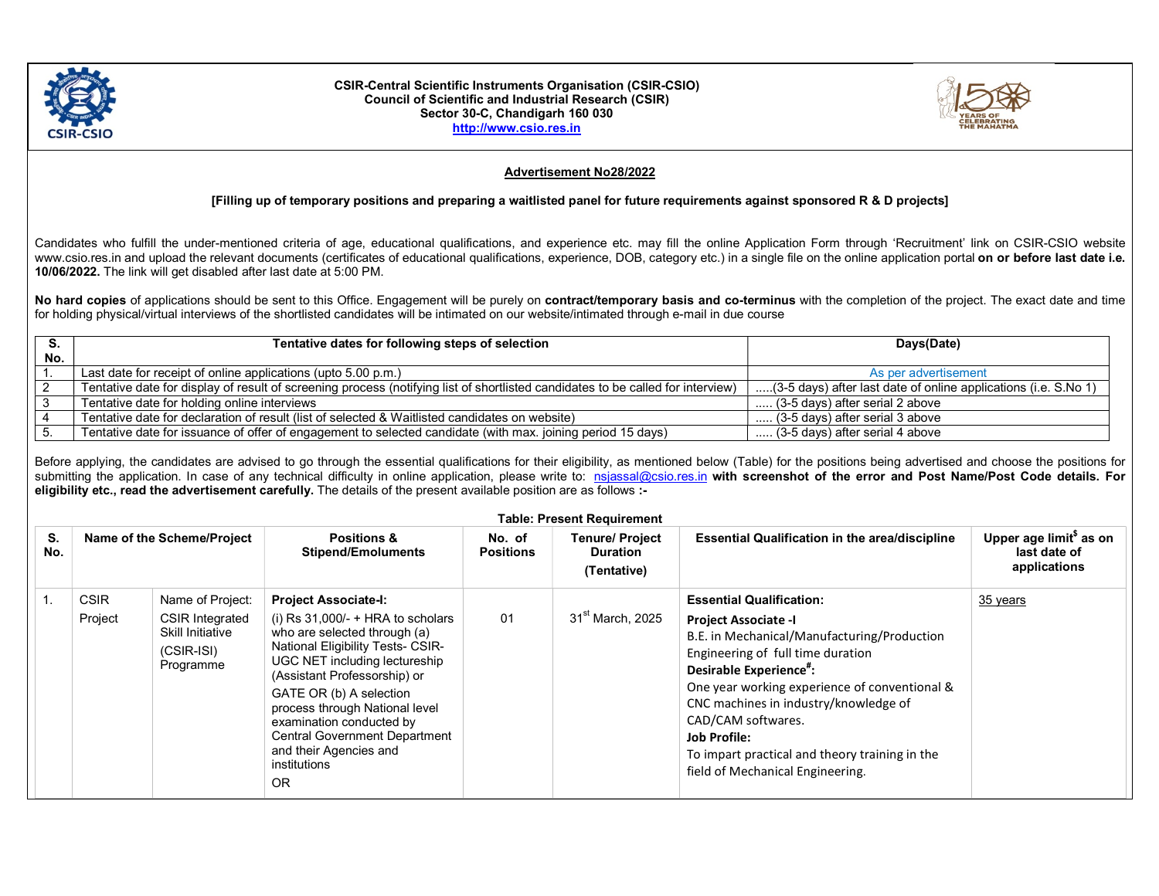

## CSIR-Central Scientific Instruments Organisation (CSIR-CSIO) Council of Scientific and Industrial Research (CSIR) Sector 30-C, Chandigarh 160 030 http://www.csio.res.in



## Advertisement No28/2022

## [Filling up of temporary positions and preparing a waitlisted panel for future requirements against sponsored R & D projects]

Candidates who fulfill the under-mentioned criteria of age, educational qualifications, and experience etc. may fill the online Application Form through 'Recruitment' link on CSIR-CSIO website www.csio.res.in and upload the relevant documents (certificates of educational qualifications, experience, DOB, category etc.) in a single file on the online application portal on or before last date i.e. 10/06/2022. The link will get disabled after last date at 5:00 PM.

No hard copies of applications should be sent to this Office. Engagement will be purely on contract/temporary basis and co-terminus with the completion of the project. The exact date and time for holding physical/virtual interviews of the shortlisted candidates will be intimated on our website/intimated through e-mail in due course

|     | Tentative dates for following steps of selection                                                                                | Days(Date)                                                      |  |  |
|-----|---------------------------------------------------------------------------------------------------------------------------------|-----------------------------------------------------------------|--|--|
| No. |                                                                                                                                 |                                                                 |  |  |
|     | Last date for receipt of online applications (upto 5.00 p.m.)                                                                   | As per advertisement                                            |  |  |
|     | Tentative date for display of result of screening process (notifying list of shortlisted candidates to be called for interview) | (3-5 days) after last date of online applications (i.e. S.No 1) |  |  |
|     | Tentative date for holding online interviews                                                                                    | (3-5 days) after serial 2 above                                 |  |  |
|     | Tentative date for declaration of result (list of selected & Waitlisted candidates on website)                                  | (3-5 days) after serial 3 above                                 |  |  |
|     | Tentative date for issuance of offer of engagement to selected candidate (with max. joining period 15 days)                     | (3-5 days) after serial 4 above                                 |  |  |

Before applying, the candidates are advised to go through the essential qualifications for their eligibility, as mentioned below (Table) for the positions being advertised and choose the positions for submitting the application. In case of any technical difficulty in online application, please write to: nsjassal@csio.res.in with screenshot of the error and Post Name/Post Code details. For eligibility etc., read the advertisement carefully. The details of the present available position are as follows :-

| <b>Table: Present Requirement</b> |                            |                                                                                |                                                                                                                                                                                                                                                                                                                                                                          |                            |                                                          |                                                                                                                                                                                                                                                                                                                                                                        |                                                                     |  |
|-----------------------------------|----------------------------|--------------------------------------------------------------------------------|--------------------------------------------------------------------------------------------------------------------------------------------------------------------------------------------------------------------------------------------------------------------------------------------------------------------------------------------------------------------------|----------------------------|----------------------------------------------------------|------------------------------------------------------------------------------------------------------------------------------------------------------------------------------------------------------------------------------------------------------------------------------------------------------------------------------------------------------------------------|---------------------------------------------------------------------|--|
| S.<br>No.                         | Name of the Scheme/Project |                                                                                | <b>Positions &amp;</b><br><b>Stipend/Emoluments</b>                                                                                                                                                                                                                                                                                                                      | No. of<br><b>Positions</b> | <b>Tenure/ Project</b><br><b>Duration</b><br>(Tentative) | <b>Essential Qualification in the area/discipline</b>                                                                                                                                                                                                                                                                                                                  | Upper age limit <sup>\$</sup> as on<br>last date of<br>applications |  |
|                                   | <b>CSIR</b>                | Name of Project:                                                               | <b>Project Associate-I:</b>                                                                                                                                                                                                                                                                                                                                              |                            |                                                          | <b>Essential Qualification:</b>                                                                                                                                                                                                                                                                                                                                        | 35 years                                                            |  |
|                                   | Project                    | <b>CSIR Integrated</b><br><b>Skill Initiative</b><br>$(CSIR-ISI)$<br>Programme | (i) Rs $31,000/- + HRA$ to scholars<br>who are selected through (a)<br><b>National Eligibility Tests- CSIR-</b><br>UGC NET including lectureship<br>(Assistant Professorship) or<br>GATE OR (b) A selection<br>process through National level<br>examination conducted by<br><b>Central Government Department</b><br>and their Agencies and<br>institutions<br><b>OR</b> | 01                         | 31 <sup>st</sup> March, 2025                             | <b>Project Associate -I</b><br>B.E. in Mechanical/Manufacturing/Production<br>Engineering of full time duration<br>Desirable Experience":<br>One year working experience of conventional &<br>CNC machines in industry/knowledge of<br>CAD/CAM softwares.<br><b>Job Profile:</b><br>To impart practical and theory training in the<br>field of Mechanical Engineering. |                                                                     |  |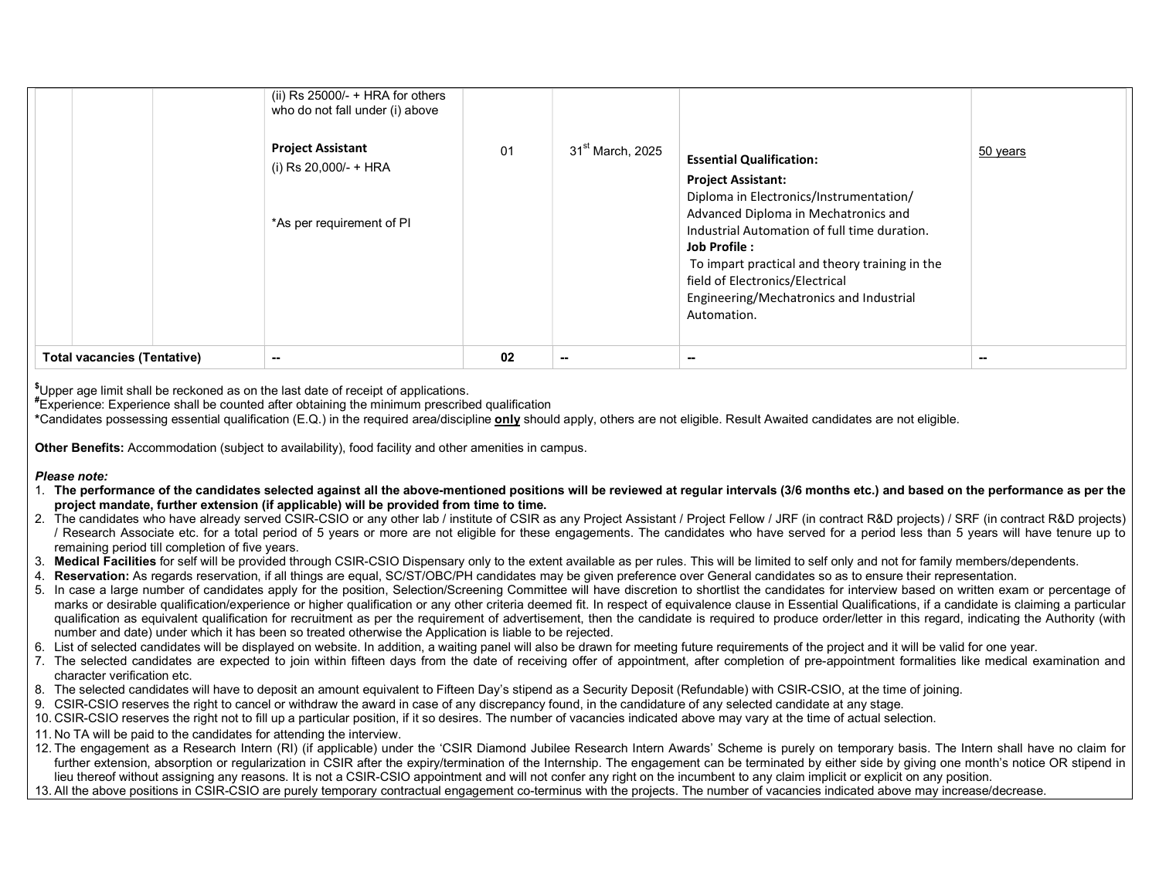|                                              | (ii) Rs $25000/-$ + HRA for others<br>who do not fall under (i) above<br><b>Project Assistant</b><br>(i) Rs 20,000/- + HRA<br>*As per requirement of PI | 01 | $31st$ March, 2025 | <b>Essential Qualification:</b><br><b>Project Assistant:</b><br>Diploma in Electronics/Instrumentation/<br>Advanced Diploma in Mechatronics and<br>Industrial Automation of full time duration.<br>Job Profile:<br>To impart practical and theory training in the<br>field of Electronics/Electrical | 50 years |
|----------------------------------------------|---------------------------------------------------------------------------------------------------------------------------------------------------------|----|--------------------|------------------------------------------------------------------------------------------------------------------------------------------------------------------------------------------------------------------------------------------------------------------------------------------------------|----------|
|                                              |                                                                                                                                                         |    |                    | Engineering/Mechatronics and Industrial<br>Automation.                                                                                                                                                                                                                                               |          |
| <b>Total vacancies (Tentative)</b><br>$\sim$ |                                                                                                                                                         | 02 | $\sim$             | --                                                                                                                                                                                                                                                                                                   | $\sim$   |

\$Upper age limit shall be reckoned as on the last date of receipt of applications.

#Experience: Experience shall be counted after obtaining the minimum prescribed qualification

\*Candidates possessing essential qualification (E.Q.) in the required area/discipline only should apply, others are not eligible. Result Awaited candidates are not eligible.

Other Benefits: Accommodation (subject to availability), food facility and other amenities in campus.

## Please note:

- 1. The performance of the candidates selected against all the above-mentioned positions will be reviewed at regular intervals (3/6 months etc.) and based on the performance as per the project mandate, further extension (if applicable) will be provided from time to time.
- 2. The candidates who have already served CSIR-CSIO or any other lab / institute of CSIR as any Project Assistant / Project Fellow / JRF (in contract R&D projects) / SRF (in contract R&D projects) / Research Associate etc. for a total period of 5 years or more are not eligible for these engagements. The candidates who have served for a period less than 5 years will have tenure up to remaining period till completion of five years.
- 3. Medical Facilities for self will be provided through CSIR-CSIO Dispensary only to the extent available as per rules. This will be limited to self only and not for family members/dependents.
- 4. Reservation: As regards reservation, if all things are equal, SC/ST/OBC/PH candidates may be given preference over General candidates so as to ensure their representation.
- 5. In case a large number of candidates apply for the position, Selection/Screening Committee will have discretion to shortlist the candidates for interview based on written exam or percentage of marks or desirable qualification/experience or higher qualification or any other criteria deemed fit. In respect of equivalence clause in Essential Qualifications, if a candidate is claiming a particular qualification as equivalent qualification for recruitment as per the requirement of advertisement, then the candidate is required to produce order/letter in this regard, indicating the Authority (with number and date) under which it has been so treated otherwise the Application is liable to be rejected.
- 6. List of selected candidates will be displayed on website. In addition, a waiting panel will also be drawn for meeting future requirements of the project and it will be valid for one year.
- 7. The selected candidates are expected to join within fifteen days from the date of receiving offer of appointment, after completion of pre-appointment formalities like medical examination and character verification etc.
- 8. The selected candidates will have to deposit an amount equivalent to Fifteen Day's stipend as a Security Deposit (Refundable) with CSIR-CSIO, at the time of joining.
- 9. CSIR-CSIO reserves the right to cancel or withdraw the award in case of any discrepancy found, in the candidature of any selected candidate at any stage.
- 10. CSIR-CSIO reserves the right not to fill up a particular position, if it so desires. The number of vacancies indicated above may vary at the time of actual selection.
- 11. No TA will be paid to the candidates for attending the interview.
- 12. The engagement as a Research Intern (RI) (if applicable) under the 'CSIR Diamond Jubilee Research Intern Awards' Scheme is purely on temporary basis. The Intern shall have no claim for further extension, absorption or regularization in CSIR after the expiry/termination of the Internship. The engagement can be terminated by either side by giving one month's notice OR stipend in lieu thereof without assigning any reasons. It is not a CSIR-CSIO appointment and will not confer any right on the incumbent to any claim implicit or explicit on any position.
- 13. All the above positions in CSIR-CSIO are purely temporary contractual engagement co-terminus with the projects. The number of vacancies indicated above may increase/decrease.